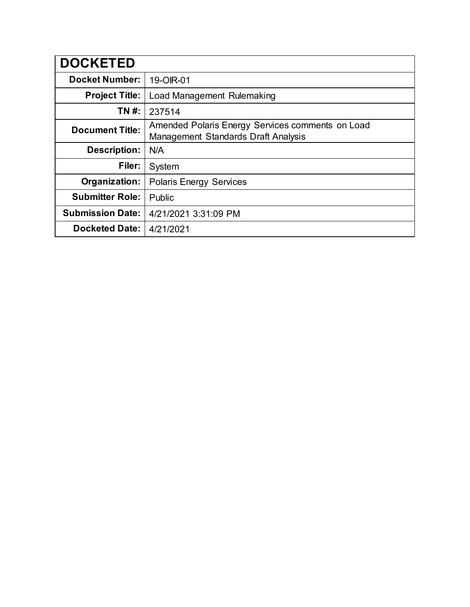| <b>DOCKETED</b>         |                                                                                                |
|-------------------------|------------------------------------------------------------------------------------------------|
| <b>Docket Number:</b>   | 19-OIR-01                                                                                      |
| <b>Project Title:</b>   | Load Management Rulemaking                                                                     |
| TN #:                   | 237514                                                                                         |
| <b>Document Title:</b>  | Amended Polaris Energy Services comments on Load<br><b>Management Standards Draft Analysis</b> |
| <b>Description:</b>     | N/A                                                                                            |
| Filer:                  | System                                                                                         |
| Organization:           | <b>Polaris Energy Services</b>                                                                 |
| <b>Submitter Role:</b>  | Public                                                                                         |
| <b>Submission Date:</b> | 4/21/2021 3:31:09 PM                                                                           |
| <b>Docketed Date:</b>   | 4/21/2021                                                                                      |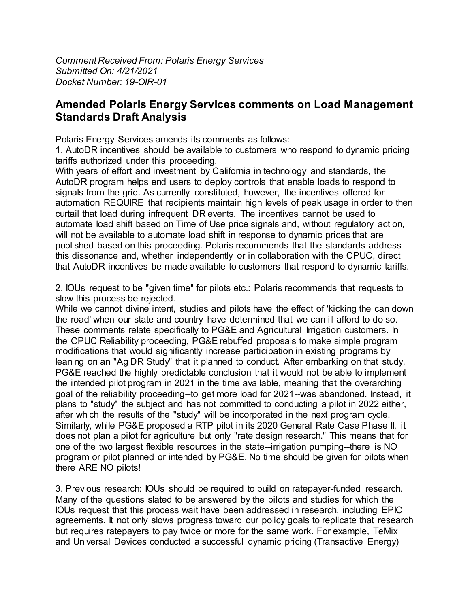*Comment Received From: Polaris Energy Services Submitted On: 4/21/2021 Docket Number: 19-OIR-01*

## **Amended Polaris Energy Services comments on Load Management Standards Draft Analysis**

Polaris Energy Services amends its comments as follows:

1. AutoDR incentives should be available to customers who respond to dynamic pricing tariffs authorized under this proceeding.

With years of effort and investment by California in technology and standards, the AutoDR program helps end users to deploy controls that enable loads to respond to signals from the grid. As currently constituted, however, the incentives offered for automation REQUIRE that recipients maintain high levels of peak usage in order to then curtail that load during infrequent DR events. The incentives cannot be used to automate load shift based on Time of Use price signals and, without regulatory action, will not be available to automate load shift in response to dynamic prices that are published based on this proceeding. Polaris recommends that the standards address this dissonance and, whether independently or in collaboration with the CPUC, direct that AutoDR incentives be made available to customers that respond to dynamic tariffs.

2. IOUs request to be "given time" for pilots etc.: Polaris recommends that requests to slow this process be rejected.

While we cannot divine intent, studies and pilots have the effect of 'kicking the can down the road' when our state and country have determined that we can ill afford to do so. These comments relate specifically to PG&E and Agricultural Irrigation customers. In the CPUC Reliability proceeding, PG&E rebuffed proposals to make simple program modifications that would significantly increase participation in existing programs by leaning on an "Ag DR Study" that it planned to conduct. After embarking on that study, PG&E reached the highly predictable conclusion that it would not be able to implement the intended pilot program in 2021 in the time available, meaning that the overarching goal of the reliability proceeding--to get more load for 2021--was abandoned. Instead, it plans to "study" the subject and has not committed to conducting a pilot in 2022 either, after which the results of the "study" will be incorporated in the next program cycle. Similarly, while PG&E proposed a RTP pilot in its 2020 General Rate Case Phase II, it does not plan a pilot for agriculture but only "rate design research." This means that for one of the two largest flexible resources in the state--irrigation pumping--there is NO program or pilot planned or intended by PG&E. No time should be given for pilots when there ARE NO pilots!

3. Previous research: IOUs should be required to build on ratepayer-funded research. Many of the questions slated to be answered by the pilots and studies for which the IOUs request that this process wait have been addressed in research, including EPIC agreements. It not only slows progress toward our policy goals to replicate that research but requires ratepayers to pay twice or more for the same work. For example, TeMix and Universal Devices conducted a successful dynamic pricing (Transactive Energy)